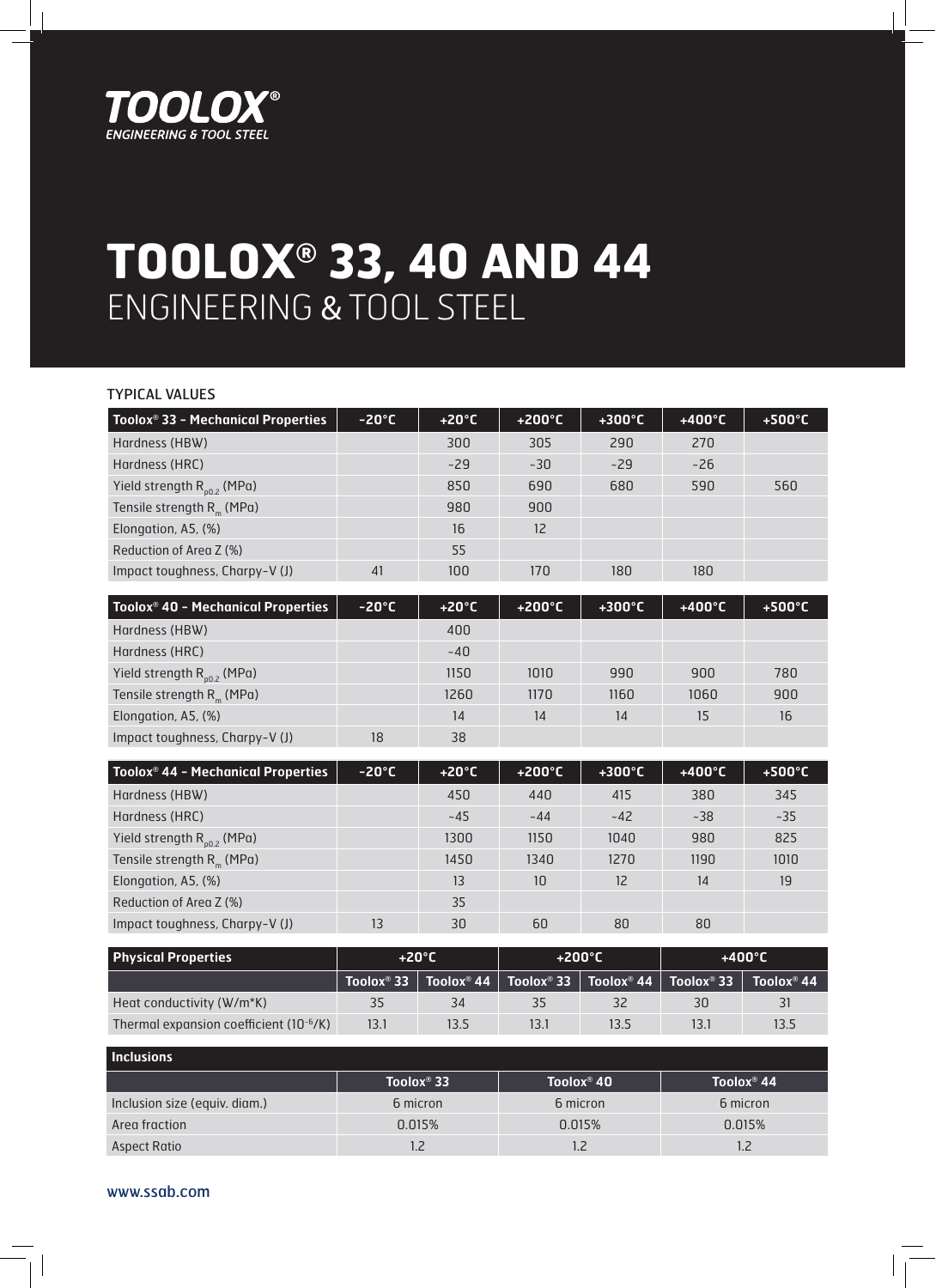

## **TOOLOX® 33, 40 AND 44** ENGINEERING & TOOL STEEL

| <b>TYPICAL VALUES</b>                          |                 |                 |                  |                  |                  |                  |
|------------------------------------------------|-----------------|-----------------|------------------|------------------|------------------|------------------|
| Toolox <sup>®</sup> 33 - Mechanical Properties | $-20^{\circ}$ C | $+20^{\circ}$ C | $+200^{\circ}$ C | $+300^{\circ}$ C | $+400^{\circ}$ C | $+500^{\circ}$ C |
| Hardness (HBW)                                 |                 | 300             | 305              | 290              | 270              |                  |
| Hardness (HRC)                                 |                 | ~29             | ~230             | ~29              | ~26              |                  |
| Yield strength $R_{p0.2}$ (MPa)                |                 | 850             | 690              | 680              | 590              | 560              |
| Tensile strength $R_m$ (MPa)                   |                 | 980             | 900              |                  |                  |                  |
| Elongation, A5, (%)                            |                 | 16              | 12 <sup>°</sup>  |                  |                  |                  |
| Reduction of Area Z (%)                        |                 | 55              |                  |                  |                  |                  |
| Impact toughness, Charpy-V (J)                 | 41              | 100             | 170              | 180              | 180              |                  |

| Toolox <sup>®</sup> 40 - Mechanical Properties | $-20^{\circ}$ C | $+20^{\circ}$ C | $+200^{\circ}$ C | $+300^{\circ}$ C | $+400^{\circ}$ C | $+500^{\circ}C$ |
|------------------------------------------------|-----------------|-----------------|------------------|------------------|------------------|-----------------|
| Hardness (HBW)                                 |                 | 400             |                  |                  |                  |                 |
| Hardness (HRC)                                 |                 | ~140            |                  |                  |                  |                 |
| Yield strength $R_{0,0,2}$ (MPa)               |                 | 1150            | 1010             | 990              | 900              | 780             |
| Tensile strength $R_m$ (MPa)                   |                 | 1260            | 1170             | 1160             | 1060             | 900             |
| Elongation, A5, (%)                            |                 | 14              | 14               | 14               | 15               | 16              |
| Impact toughness, Charpy-V (J)                 | 18              | 38              |                  |                  |                  |                 |

| Toolox <sup>®</sup> 44 - Mechanical Properties | $-20^{\circ}$ C | $+20^{\circ}$ C | $+200^{\circ}$ C | $+300^{\circ}$ C | $+400^{\circ}$ C | $+500^{\circ}$ C |
|------------------------------------------------|-----------------|-----------------|------------------|------------------|------------------|------------------|
| Hardness (HBW)                                 |                 | 450             | 440              | 415              | 380              | 345              |
| Hardness (HRC)                                 |                 | $~1 - 45$       | $-44$            | $-42$            | ~238             | ~235             |
| Yield strength $R_{0,0,2}$ (MPa)               |                 | 1300            | 1150             | 1040             | 980              | 825              |
| Tensile strength $R_m$ (MPa)                   |                 | 1450            | 1340             | 1270             | 1190             | 1010             |
| Elongation, A5, (%)                            |                 | 13              | 10               | 12               | 14               | 19               |
| Reduction of Area Z (%)                        |                 | 35              |                  |                  |                  |                  |
| Impact toughness, Charpy-V (J)                 | 13              | 30              | 60               | 80               | 80               |                  |

| <b>Physical Properties</b>                          | $+20^{\circ}$ C |      | $+200^{\circ}$ C |      | $+400^{\circ}$ C                                                                                                          |                    |
|-----------------------------------------------------|-----------------|------|------------------|------|---------------------------------------------------------------------------------------------------------------------------|--------------------|
|                                                     |                 |      |                  |      | $\top$ Toolox® 33 $\parallel$ Toolox® 44 $\parallel$ Toolox® 33 $\parallel$ Toolox® 44 $\parallel$ Toolox® 33 $\parallel$ | $\vert$ Toolox® 44 |
| Heat conductivity (W/m*K)                           | 35              | 34   | 35               | 32   | 30                                                                                                                        | 31                 |
| Thermal expansion coefficient (10 <sup>-6</sup> /K) | 13.1            | 13.5 | 13.1             | 13.5 | 13.1                                                                                                                      | 13.5               |

| <b>Inclusions</b>             |                        |                        |                        |
|-------------------------------|------------------------|------------------------|------------------------|
|                               | Toolox <sup>®</sup> 33 | Toolox <sup>®</sup> 40 | Toolox <sup>®</sup> 44 |
| Inclusion size (equiv. diam.) | 6 micron               | 6 micron               | 6 micron               |
| Area fraction                 | 0.015%                 | 0.015%                 | 0.015%                 |
| <b>Aspect Ratio</b>           |                        |                        |                        |

www.ssab.com